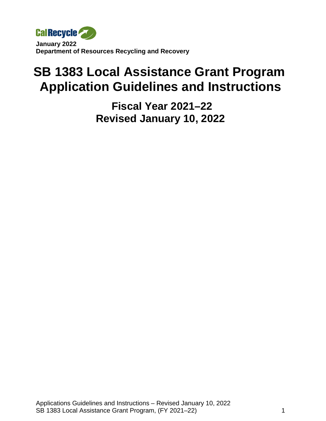

# **SB 1383 Local Assistance Grant Program Application Guidelines and Instructions**

 **Fiscal Year 2021–22 Revised January 10, 2022**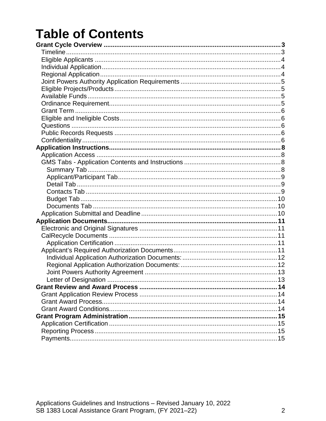# **Table of Contents**

<span id="page-1-0"></span>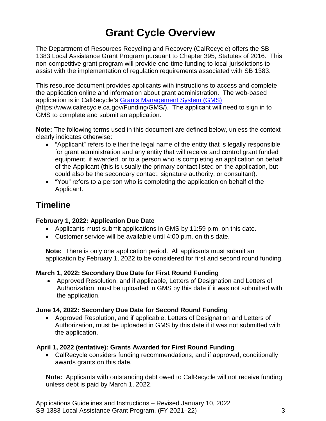# **Grant Cycle Overview**

The Department of Resources Recycling and Recovery (CalRecycle) offers the SB 1383 Local Assistance Grant Program pursuant to Chapter 395, Statutes of 2016. This non-competitive grant program will provide one-time funding to local jurisdictions to assist with the implementation of regulation requirements associated with SB 1383.

This resource document provides applicants with instructions to access and complete the application online and information about grant administration. The web-based application is in CalRecycle's [Grants Management System \(GMS\)](https://www.calrecycle.ca.gov/funding/gms) (https://www.calrecycle.ca.gov/Funding/GMS/). The applicant will need to sign in to GMS to complete and submit an application.

**Note:** The following terms used in this document are defined below, unless the context clearly indicates otherwise:

- "Applicant" refers to either the legal name of the entity that is legally responsible for grant administration and any entity that will receive and control grant funded equipment, if awarded, or to a person who is completing an application on behalf of the Applicant (this is usually the primary contact listed on the application, but could also be the secondary contact, signature authority, or consultant).
- "You" refers to a person who is completing the application on behalf of the Applicant.

## <span id="page-2-0"></span>**Timeline**

#### **February 1, 2022: Application Due Date**

- Applicants must submit applications in GMS by 11:59 p.m. on this date.
- Customer service will be available until 4:00 p.m. on this date.

**Note:** There is only one application period. All applicants must submit an application by February 1, 2022 to be considered for first and second round funding.

#### **March 1, 2022: Secondary Due Date for First Round Funding**

• Approved Resolution, and if applicable, Letters of Designation and Letters of Authorization, must be uploaded in GMS by this date if it was not submitted with the application.

#### **June 14, 2022: Secondary Due Date for Second Round Funding**

• Approved Resolution, and if applicable, Letters of Designation and Letters of Authorization, must be uploaded in GMS by this date if it was not submitted with the application.

#### **April 1, 2022 (tentative): Grants Awarded for First Round Funding**

• CalRecycle considers funding recommendations, and if approved, conditionally awards grants on this date.

**Note:** Applicants with outstanding debt owed to CalRecycle will not receive funding unless debt is paid by March 1, 2022.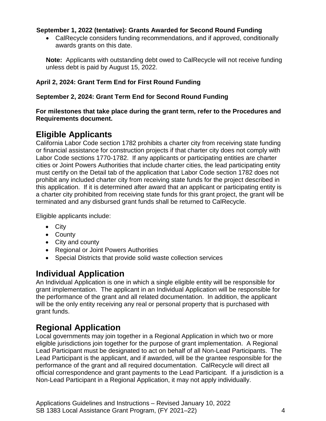#### **September 1, 2022 (tentative): Grants Awarded for Second Round Funding**

• CalRecycle considers funding recommendations, and if approved, conditionally awards grants on this date.

**Note:** Applicants with outstanding debt owed to CalRecycle will not receive funding unless debt is paid by August 15, 2022.

#### **April 2, 2024: Grant Term End for First Round Funding**

#### **September 2, 2024: Grant Term End for Second Round Funding**

**For milestones that take place during the grant term, refer to the Procedures and Requirements document.**

## <span id="page-3-0"></span>**Eligible Applicants**

California Labor Code section 1782 prohibits a charter city from receiving state funding or financial assistance for construction projects if that charter city does not comply with Labor Code sections 1770-1782. If any applicants or participating entities are charter cities or Joint Powers Authorities that include charter cities, the lead participating entity must certify on the Detail tab of the application that Labor Code section 1782 does not prohibit any included charter city from receiving state funds for the project described in this application. If it is determined after award that an applicant or participating entity is a charter city prohibited from receiving state funds for this grant project, the grant will be terminated and any disbursed grant funds shall be returned to CalRecycle.

Eligible applicants include:

- City
- County
- City and county
- Regional or Joint Powers Authorities
- Special Districts that provide solid waste collection services

## <span id="page-3-1"></span>**Individual Application**

An Individual Application is one in which a single eligible entity will be responsible for grant implementation. The applicant in an Individual Application will be responsible for the performance of the grant and all related documentation. In addition, the applicant will be the only entity receiving any real or personal property that is purchased with grant funds.

## <span id="page-3-2"></span>**Regional Application**

Local governments may join together in a Regional Application in which two or more eligible jurisdictions join together for the purpose of grant implementation. A Regional Lead Participant must be designated to act on behalf of all Non-Lead Participants. The Lead Participant is the applicant, and if awarded, will be the grantee responsible for the performance of the grant and all required documentation. CalRecycle will direct all official correspondence and grant payments to the Lead Participant. If a jurisdiction is a Non-Lead Participant in a Regional Application, it may not apply individually.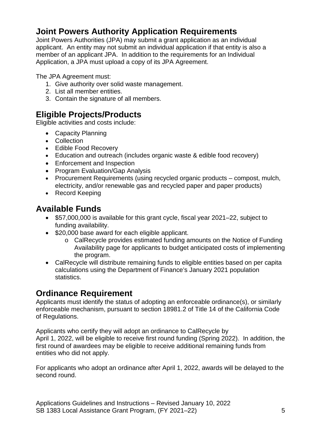# <span id="page-4-0"></span>**Joint Powers Authority Application Requirements**

Joint Powers Authorities (JPA) may submit a grant application as an individual applicant. An entity may not submit an individual application if that entity is also a member of an applicant JPA. In addition to the requirements for an Individual Application, a JPA must upload a copy of its JPA Agreement.

The JPA Agreement must:

- 1. Give authority over solid waste management.
- 2. List all member entities.
- 3. Contain the signature of all members.

# <span id="page-4-1"></span>**Eligible Projects/Products**

Eligible activities and costs include:

- Capacity Planning
- Collection
- Edible Food Recovery
- Education and outreach (includes organic waste & edible food recovery)
- Enforcement and Inspection
- Program Evaluation/Gap Analysis
- Procurement Requirements (using recycled organic products compost, mulch, electricity, and/or renewable gas and recycled paper and paper products)
- Record Keeping

# <span id="page-4-2"></span>**Available Funds**

- \$57,000,000 is available for this grant cycle, fiscal year 2021–22, subject to funding availability.
- \$20,000 base award for each eligible applicant.
	- o CalRecycle provides estimated funding amounts on the Notice of Funding Availability page for applicants to budget anticipated costs of implementing the program.
- CalRecycle will distribute remaining funds to eligible entities based on per capita calculations using the Department of Finance's January 2021 population statistics.

# <span id="page-4-3"></span>**Ordinance Requirement**

Applicants must identify the status of adopting an enforceable ordinance(s), or similarly enforceable mechanism, pursuant to section 18981.2 of Title 14 of the California Code of Regulations.

Applicants who certify they will adopt an ordinance to CalRecycle by April 1, 2022, will be eligible to receive first round funding (Spring 2022). In addition, the first round of awardees may be eligible to receive additional remaining funds from entities who did not apply.

For applicants who adopt an ordinance after April 1, 2022, awards will be delayed to the second round.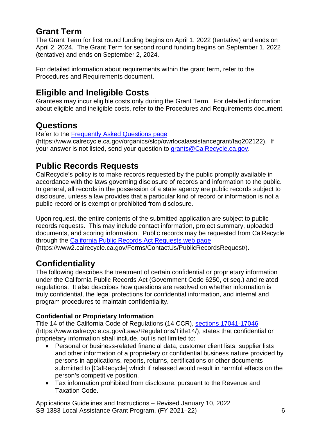# <span id="page-5-0"></span>**Grant Term**

The Grant Term for first round funding begins on April 1, 2022 (tentative) and ends on April 2, 2024. The Grant Term for second round funding begins on September 1, 2022 (tentative) and ends on September 2, 2024.

For detailed information about requirements within the grant term, refer to the Procedures and Requirements document.

# <span id="page-5-1"></span>**Eligible and Ineligible Costs**

Grantees may incur eligible costs only during the Grant Term. For detailed information about eligible and ineligible costs, refer to the Procedures and Requirements document.

# <span id="page-5-2"></span>**Questions**

Refer to the [Frequently Asked Questions page](https://www.calrecycle.ca.gov/organics/slcp/owrlocalassistancegrant/faq202122)

(https://www.calrecycle.ca.gov/organics/slcp/owrlocalassistancegrant/faq202122). If your answer is not listed, send your question to [grants@CalRecycle.ca.gov.](mailto:grants@CalRecycle.ca.gov)

# <span id="page-5-3"></span>**Public Records Requests**

CalRecycle's policy is to make records requested by the public promptly available in accordance with the laws governing disclosure of records and information to the public. In general, all records in the possession of a state agency are public records subject to disclosure, unless a law provides that a particular kind of record or information is not a public record or is exempt or prohibited from disclosure.

Upon request, the entire contents of the submitted application are subject to public records requests. This may include contact information, project summary, uploaded documents, and scoring information. Public records may be requested from CalRecycle through the [California Public Records Act Requests web](https://www2.calrecycle.ca.gov/Forms/ContactUs/PublicRecordsRequest/) page (https://www2.calrecycle.ca.gov/Forms/ContactUs/PublicRecordsRequest/).

# <span id="page-5-4"></span>**Confidentiality**

The following describes the treatment of certain confidential or proprietary information under the California Public Records Act [\(Government Code](http://www.leginfo.ca.gov/cgi-bin/calawquery?codesection=gov&codebody=&hits=20) 6250, et seq.) and related regulations. It also describes how questions are resolved on whether information is truly confidential, the legal protections for confidential information, and internal and program procedures to maintain confidentiality.

### **Confidential or Proprietary Information**

Title 14 of the California Code of Regulations (14 CCR), [sections 17041-17046](https://www.calrecycle.ca.gov/Laws/Regulations/Title14/) (https://www.calrecycle.ca.gov/Laws/Regulations/Title14/), states that confidential or proprietary information shall include, but is not limited to:

- Personal or business-related financial data, customer client lists, supplier lists and other information of a proprietary or confidential business nature provided by persons in applications, reports, returns, certifications or other documents submitted to [CalRecycle] which if released would result in harmful effects on the person's competitive position.
- Tax information prohibited from disclosure, pursuant to the Revenue and Taxation Code.

Applications Guidelines and Instructions – Revised January 10, 2022 SB 1383 Local Assistance Grant Program, (FY 2021–22) 6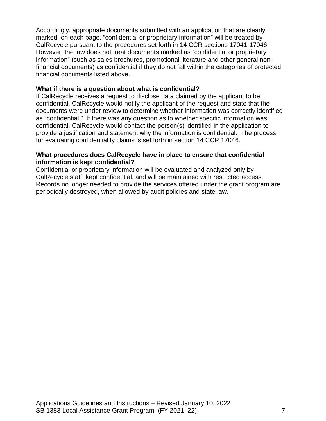Accordingly, appropriate documents submitted with an application that are clearly marked, on each page, "confidential or proprietary information" will be treated by CalRecycle pursuant to the procedures set forth in 14 CCR sections 17041-17046. However, the law does not treat documents marked as "confidential or proprietary information" (such as sales brochures, promotional literature and other general nonfinancial documents) as confidential if they do not fall within the categories of protected financial documents listed above.

#### **What if there is a question about what is confidential?**

If CalRecycle receives a request to disclose data claimed by the applicant to be confidential, CalRecycle would notify the applicant of the request and state that the documents were under review to determine whether information was correctly identified as "confidential." If there was any question as to whether specific information was confidential, CalRecycle would contact the person(s) identified in the application to provide a justification and statement why the information is confidential. The process for evaluating confidentiality claims is set forth in section 14 CCR 17046.

#### **What procedures does CalRecycle have in place to ensure that confidential information is kept confidential?**

Confidential or proprietary information will be evaluated and analyzed only by CalRecycle staff, kept confidential, and will be maintained with restricted access. Records no longer needed to provide the services offered under the grant program are periodically destroyed, when allowed by audit policies and state law.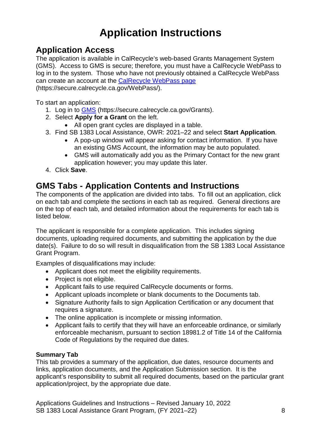# **Application Instructions**

# <span id="page-7-1"></span><span id="page-7-0"></span>**Application Access**

The application is available in CalRecycle's web-based Grants Management System (GMS). Access to GMS is secure; therefore, you must have a CalRecycle WebPass to log in to the system. Those who have not previously obtained a CalRecycle WebPass can create an account at the [CalRecycle WebPass page](https://secure.calrecycle.ca.gov/WebPass/) (https://secure.calrecycle.ca.gov/WebPass/).

To start an application:

- 1. Log in to [GMS](https://secure.calrecycle.ca.gov/Grants) (https://secure.calrecycle.ca.gov/Grants).
- 2. Select **Apply for a Grant** on the left.
	- All open grant cycles are displayed in a table.
- 3. Find SB 1383 Local Assistance, OWR: 2021–22 and select **Start Application**.
	- A pop-up window will appear asking for contact information. If you have an existing GMS Account, the information may be auto populated.
	- GMS will automatically add you as the Primary Contact for the new grant application however; you may update this later.
- 4. Click **Save**.

# <span id="page-7-2"></span>**GMS Tabs - Application Contents and Instructions**

The components of the application are divided into tabs. To fill out an application, click on each tab and complete the sections in each tab as required. General directions are on the top of each tab, and detailed information about the requirements for each tab is listed below.

The applicant is responsible for a complete application. This includes signing documents, uploading required documents, and submitting the application by the due date(s). Failure to do so will result in disqualification from the SB 1383 Local Assistance Grant Program.

Examples of disqualifications may include:

- Applicant does not meet the eligibility requirements.
- Project is not eligible.
- Applicant fails to use required CalRecycle documents or forms.
- Applicant uploads incomplete or blank documents to the Documents tab.
- Signature Authority fails to sign Application Certification or any document that requires a signature.
- The online application is incomplete or missing information.
- Applicant fails to certify that they will have an enforceable ordinance, or similarly enforceable mechanism, pursuant to section 18981.2 of Title 14 of the California Code of Regulations by the required due dates.

#### <span id="page-7-3"></span>**Summary Tab**

This tab provides a summary of the application, due dates, resource documents and links, application documents, and the Application Submission section. It is the applicant's responsibility to submit all required documents, based on the particular grant application/project, by the appropriate due date.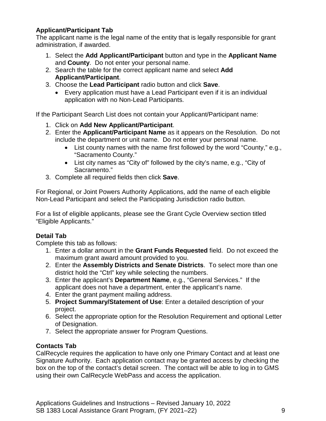#### <span id="page-8-0"></span>**Applicant/Participant Tab**

The applicant name is the legal name of the entity that is legally responsible for grant administration, if awarded.

- 1. Select the **Add Applicant/Participant** button and type in the **Applicant Name** and **County**. Do not enter your personal name.
- 2. Search the table for the correct applicant name and select **Add Applicant/Participant**.
- 3. Choose the **Lead Participant** radio button and click **Save**.
	- Every application must have a Lead Participant even if it is an individual application with no Non-Lead Participants.

If the Participant Search List does not contain your Applicant/Participant name:

- 1. Click on **Add New Applicant/Participant**.
- 2. Enter the **Applicant/Participant Name** as it appears on the Resolution. Do not include the department or unit name. Do not enter your personal name.
	- List county names with the name first followed by the word "County," e.g., "Sacramento County."
	- List city names as "City of" followed by the city's name, e.g., "City of Sacramento."
- 3. Complete all required fields then click **Save**.

For Regional, or Joint Powers Authority Applications, add the name of each eligible Non-Lead Participant and select the Participating Jurisdiction radio button.

For a list of eligible applicants, please see the Grant Cycle Overview section titled "Eligible Applicants."

#### <span id="page-8-1"></span>**Detail Tab**

Complete this tab as follows:

- 1. Enter a dollar amount in the **Grant Funds Requested** field. Do not exceed the maximum grant award amount provided to you.
- 2. Enter the **Assembly Districts and Senate Districts**. To select more than one district hold the "Ctrl" key while selecting the numbers.
- 3. Enter the applicant's **Department Name**, e.g., "General Services." If the applicant does not have a department, enter the applicant's name.
- 4. Enter the grant payment mailing address.
- 5. **Project Summary/Statement of Use**: Enter a detailed description of your project.
- 6. Select the appropriate option for the Resolution Requirement and optional Letter of Designation.
- 7. Select the appropriate answer for Program Questions.

#### <span id="page-8-2"></span>**Contacts Tab**

CalRecycle requires the application to have only one Primary Contact and at least one Signature Authority. Each application contact may be granted access by checking the box on the top of the contact's detail screen. The contact will be able to log in to GMS using their own CalRecycle WebPass and access the application.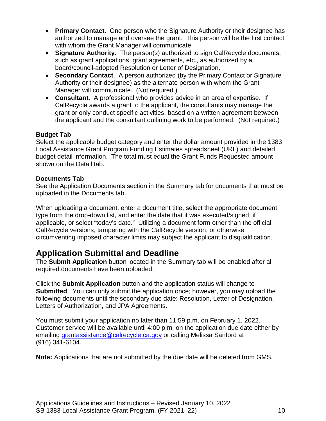- **Primary Contact.** One person who the Signature Authority or their designee has authorized to manage and oversee the grant. This person will be the first contact with whom the Grant Manager will communicate.
- **Signature Authority**. The person(s) authorized to sign CalRecycle documents, such as grant applications, grant agreements, etc., as authorized by a board/council-adopted Resolution or Letter of Designation.
- **Secondary Contact**. A person authorized (by the Primary Contact or Signature Authority or their designee) as the alternate person with whom the Grant Manager will communicate. (Not required.)
- **Consultant.** A professional who provides advice in an area of expertise. If CalRecycle awards a grant to the applicant, the consultants may manage the grant or only conduct specific activities, based on a written agreement between the applicant and the consultant outlining work to be performed. (Not required.)

#### <span id="page-9-0"></span>**Budget Tab**

Select the applicable budget category and enter the dollar amount provided in the 1383 Local Assistance Grant Program Funding Estimates spreadsheet (URL) and detailed budget detail information. The total must equal the Grant Funds Requested amount shown on the Detail tab.

#### <span id="page-9-1"></span>**Documents Tab**

See the Application Documents section in the Summary tab for documents that must be uploaded in the Documents tab.

When uploading a document, enter a document title, select the appropriate document type from the drop-down list, and enter the date that it was executed/signed, if applicable, or select "today's date." Utilizing a document form other than the official CalRecycle versions, tampering with the CalRecycle version, or otherwise circumventing imposed character limits may subject the applicant to disqualification.

# <span id="page-9-2"></span>**Application Submittal and Deadline**

The **Submit Application** button located in the Summary tab will be enabled after all required documents have been uploaded.

Click the **Submit Application** button and the application status will change to **Submitted.** You can only submit the application once; however, you may upload the following documents until the secondary due date: Resolution, Letter of Designation, Letters of Authorization, and JPA Agreements.

You must submit your application no later than 11:59 p.m. on February 1, 2022. Customer service will be available until 4:00 p.m. on the application due date either by emailing [grantassistance@calrecycle.ca.gov](mailto:grantassistance@calrecycle.ca.gov) or calling Melissa Sanford at (916) 341-6104.

**Note:** Applications that are not submitted by the due date will be deleted from GMS.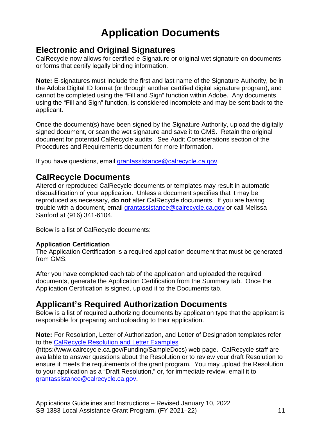# **Application Documents**

### <span id="page-10-1"></span><span id="page-10-0"></span>**Electronic and Original Signatures**

CalRecycle now allows for certified e-Signature or original wet signature on documents or forms that certify legally binding information.

**Note:** E-signatures must include the first and last name of the Signature Authority, be in the Adobe Digital ID format (or through another certified digital signature program), and cannot be completed using the "Fill and Sign" function within Adobe. Any documents using the "Fill and Sign" function, is considered incomplete and may be sent back to the applicant.

Once the document(s) have been signed by the Signature Authority, upload the digitally signed document, or scan the wet signature and save it to GMS. Retain the original document for potential CalRecycle audits. See Audit Considerations section of the Procedures and Requirements document for more information.

If you have questions, email [grantassistance@calrecycle.ca.gov.](mailto:grantassistance@calrecycle.ca.gov)

### <span id="page-10-2"></span>**CalRecycle Documents**

Altered or reproduced CalRecycle documents or templates may result in automatic disqualification of your application. Unless a document specifies that it may be reproduced as necessary, **do not** alter CalRecycle documents. If you are having trouble with a document, email [grantassistance@calrecycle.ca.gov](mailto:grantassistance@calrecycle.ca.gov) or call Melissa Sanford at (916) 341-6104.

Below is a list of CalRecycle documents:

#### <span id="page-10-3"></span>**Application Certification**

The Application Certification is a required application document that must be generated from GMS.

After you have completed each tab of the application and uploaded the required documents, generate the Application Certification from the Summary tab. Once the Application Certification is signed, upload it to the Documents tab.

## <span id="page-10-4"></span>**Applicant's Required Authorization Documents**

Below is a list of required authorizing documents by application type that the applicant is responsible for preparing and uploading to their application.

**Note:** For Resolution, Letter of Authorization, and Letter of Designation templates refer to the [CalRecycle Resolution and Letter Examples](https://www.calrecycle.ca.gov/Funding/SampleDocs)

(https://www.calrecycle.ca.gov/Funding/SampleDocs) web page. CalRecycle staff are available to answer questions about the Resolution or to review your draft Resolution to ensure it meets the requirements of the grant program. You may upload the Resolution to your application as a "Draft Resolution," or, for immediate review, email it to [grantassistance@calrecycle.ca.gov.](mailto:grantassistance@calrecycle.ca.gov)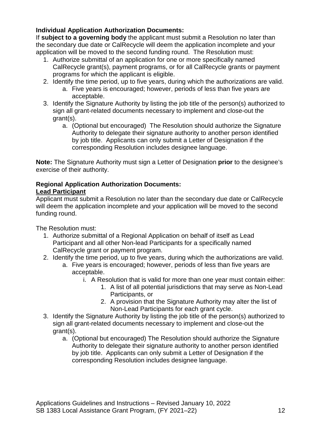#### <span id="page-11-0"></span>**Individual Application Authorization Documents:**

If **subject to a governing body** the applicant must submit a Resolution no later than the secondary due date or CalRecycle will deem the application incomplete and your application will be moved to the second funding round. The Resolution must:

- 1. Authorize submittal of an application for one or more specifically named CalRecycle grant(s), payment programs, or for all CalRecycle grants or payment programs for which the applicant is eligible.
- 2. Identify the time period, up to five years, during which the authorizations are valid.
	- a. Five years is encouraged; however, periods of less than five years are acceptable.
- 3. Identify the Signature Authority by listing the job title of the person(s) authorized to sign all grant-related documents necessary to implement and close-out the grant(s).
	- a. (Optional but encouraged) The Resolution should authorize the Signature Authority to delegate their signature authority to another person identified by job title. Applicants can only submit a Letter of Designation if the corresponding Resolution includes designee language.

**Note:** The Signature Authority must sign a Letter of Designation **prior** to the designee's exercise of their authority.

#### <span id="page-11-1"></span>**Regional Application Authorization Documents:**

#### **Lead Participant**

Applicant must submit a Resolution no later than the secondary due date or CalRecycle will deem the application incomplete and your application will be moved to the second funding round.

The Resolution must:

- 1. Authorize submittal of a Regional Application on behalf of itself as Lead Participant and all other Non-lead Participants for a specifically named CalRecycle grant or payment program.
- 2. Identify the time period, up to five years, during which the authorizations are valid.
	- a. Five years is encouraged; however, periods of less than five years are acceptable.
		- i. A Resolution that is valid for more than one year must contain either:
			- 1. A list of all potential jurisdictions that may serve as Non-Lead Participants, or
			- 2. A provision that the Signature Authority may alter the list of Non-Lead Participants for each grant cycle.
- 3. Identify the Signature Authority by listing the job title of the person(s) authorized to sign all grant-related documents necessary to implement and close-out the grant(s).
	- a. (Optional but encouraged) The Resolution should authorize the Signature Authority to delegate their signature authority to another person identified by job title. Applicants can only submit a Letter of Designation if the corresponding Resolution includes designee language.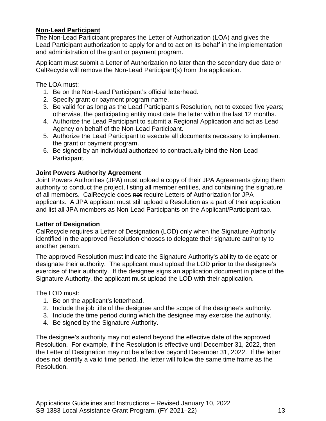#### **Non-Lead Participant**

The Non-Lead Participant prepares the Letter of Authorization (LOA) and gives the Lead Participant authorization to apply for and to act on its behalf in the implementation and administration of the grant or payment program.

Applicant must submit a Letter of Authorization no later than the secondary due date or CalRecycle will remove the Non-Lead Participant(s) from the application.

The LOA must:

- 1. Be on the Non-Lead Participant's official letterhead.
- 2. Specify grant or payment program name.
- 3. Be valid for as long as the Lead Participant's Resolution, not to exceed five years; otherwise, the participating entity must date the letter within the last 12 months.
- 4. Authorize the Lead Participant to submit a Regional Application and act as Lead Agency on behalf of the Non-Lead Participant.
- 5. Authorize the Lead Participant to execute all documents necessary to implement the grant or payment program.
- 6. Be signed by an individual authorized to contractually bind the Non-Lead Participant.

#### <span id="page-12-0"></span>**Joint Powers Authority Agreement**

Joint Powers Authorities (JPA) must upload a copy of their JPA Agreements giving them authority to conduct the project, listing all member entities, and containing the signature of all members. CalRecycle does not require Letters of Authorization for JPA applicants. A JPA applicant must still upload a Resolution as a part of their application and list all JPA members as Non-Lead Participants on the Applicant/Participant tab.

#### <span id="page-12-1"></span>**Letter of Designation**

CalRecycle requires a Letter of Designation (LOD) only when the Signature Authority identified in the approved Resolution chooses to delegate their signature authority to another person.

The approved Resolution must indicate the Signature Authority's ability to delegate or designate their authority. The applicant must upload the LOD **prior** to the designee's exercise of their authority. If the designee signs an application document in place of the Signature Authority, the applicant must upload the LOD with their application.

The LOD must:

- 1. Be on the applicant's letterhead.
- 2. Include the job title of the designee and the scope of the designee's authority.
- 3. Include the time period during which the designee may exercise the authority.
- 4. Be signed by the Signature Authority.

The designee's authority may not extend beyond the effective date of the approved Resolution. For example, if the Resolution is effective until December 31, 2022, then the Letter of Designation may not be effective beyond December 31, 2022. If the letter does not identify a valid time period, the letter will follow the same time frame as the Resolution.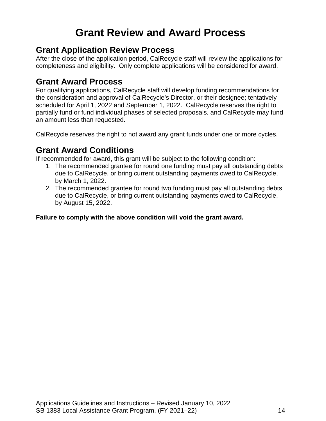# **Grant Review and Award Process**

### <span id="page-13-1"></span><span id="page-13-0"></span>**Grant Application Review Process**

After the close of the application period, CalRecycle staff will review the applications for completeness and eligibility. Only complete applications will be considered for award.

## <span id="page-13-2"></span>**Grant Award Process**

For qualifying applications, CalRecycle staff will develop funding recommendations for the consideration and approval of CalRecycle's Director, or their designee; tentatively scheduled for April 1, 2022 and September 1, 2022. CalRecycle reserves the right to partially fund or fund individual phases of selected proposals, and CalRecycle may fund an amount less than requested.

CalRecycle reserves the right to not award any grant funds under one or more cycles.

### <span id="page-13-3"></span>**Grant Award Conditions**

If recommended for award, this grant will be subject to the following condition:

- 1. The recommended grantee for round one funding must pay all outstanding debts due to CalRecycle, or bring current outstanding payments owed to CalRecycle, by March 1, 2022.
- 2. The recommended grantee for round two funding must pay all outstanding debts due to CalRecycle, or bring current outstanding payments owed to CalRecycle, by August 15, 2022.

**Failure to comply with the above condition will void the grant award.**